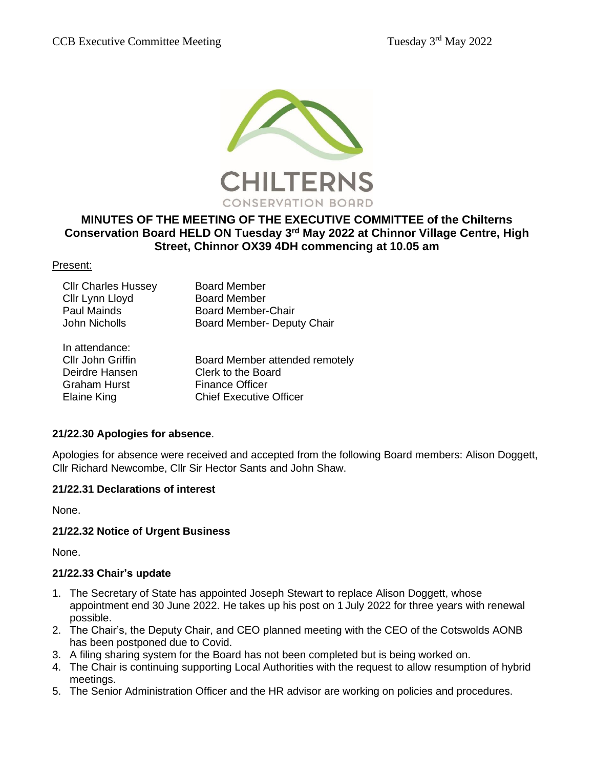

# **MINUTES OF THE MEETING OF THE EXECUTIVE COMMITTEE of the Chilterns Conservation Board HELD ON Tuesday 3 rd May 2022 at Chinnor Village Centre, High Street, Chinnor OX39 4DH commencing at 10.05 am**

#### Present:

| <b>Cllr Charles Hussey</b> | <b>Board Member</b>            |
|----------------------------|--------------------------------|
| Cllr Lynn Lloyd            | <b>Board Member</b>            |
| <b>Paul Mainds</b>         | <b>Board Member-Chair</b>      |
| John Nicholls              | Board Member- Deputy Chair     |
| In attendance:             |                                |
| Cllr John Griffin          | Board Member attended remotely |
| Deirdre Hansen             | Clerk to the Board             |
| <b>Graham Hurst</b>        | <b>Finance Officer</b>         |

Elaine King Chief Executive Officer

#### **21/22.30 Apologies for absence**.

Apologies for absence were received and accepted from the following Board members: Alison Doggett, Cllr Richard Newcombe, Cllr Sir Hector Sants and John Shaw.

#### **21/22.31 Declarations of interest**

None.

#### **21/22.32 Notice of Urgent Business**

None.

#### **21/22.33 Chair's update**

- 1. The Secretary of State has appointed Joseph Stewart to replace Alison Doggett, whose appointment end 30 June 2022. He takes up his post on 1 July 2022 for three years with renewal possible.
- 2. The Chair's, the Deputy Chair, and CEO planned meeting with the CEO of the Cotswolds AONB has been postponed due to Covid.
- 3. A filing sharing system for the Board has not been completed but is being worked on.
- 4. The Chair is continuing supporting Local Authorities with the request to allow resumption of hybrid meetings.
- 5. The Senior Administration Officer and the HR advisor are working on policies and procedures.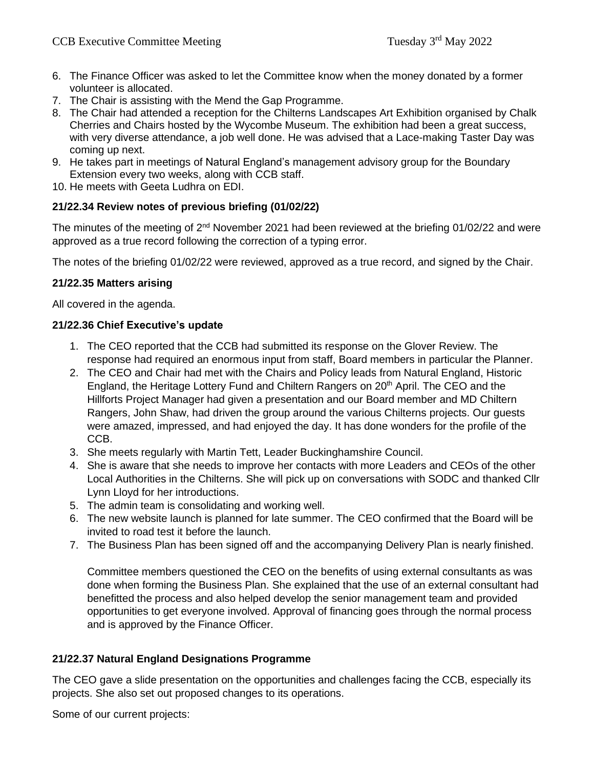- 6. The Finance Officer was asked to let the Committee know when the money donated by a former volunteer is allocated.
- 7. The Chair is assisting with the Mend the Gap Programme.
- 8. The Chair had attended a reception for the Chilterns Landscapes Art Exhibition organised by Chalk Cherries and Chairs hosted by the Wycombe Museum. The exhibition had been a great success, with very diverse attendance, a job well done. He was advised that a Lace-making Taster Day was coming up next.
- 9. He takes part in meetings of Natural England's management advisory group for the Boundary Extension every two weeks, along with CCB staff.
- 10. He meets with Geeta Ludhra on EDI.

### **21/22.34 Review notes of previous briefing (01/02/22)**

The minutes of the meeting of 2<sup>nd</sup> November 2021 had been reviewed at the briefing 01/02/22 and were approved as a true record following the correction of a typing error.

The notes of the briefing 01/02/22 were reviewed, approved as a true record, and signed by the Chair.

### **21/22.35 Matters arising**

All covered in the agenda.

### **21/22.36 Chief Executive's update**

- 1. The CEO reported that the CCB had submitted its response on the Glover Review. The response had required an enormous input from staff, Board members in particular the Planner.
- 2. The CEO and Chair had met with the Chairs and Policy leads from Natural England, Historic England, the Heritage Lottery Fund and Chiltern Rangers on 20<sup>th</sup> April. The CEO and the Hillforts Project Manager had given a presentation and our Board member and MD Chiltern Rangers, John Shaw, had driven the group around the various Chilterns projects. Our guests were amazed, impressed, and had enjoyed the day. It has done wonders for the profile of the CCB.
- 3. She meets regularly with Martin Tett, Leader Buckinghamshire Council.
- 4. She is aware that she needs to improve her contacts with more Leaders and CEOs of the other Local Authorities in the Chilterns. She will pick up on conversations with SODC and thanked Cllr Lynn Lloyd for her introductions.
- 5. The admin team is consolidating and working well.
- 6. The new website launch is planned for late summer. The CEO confirmed that the Board will be invited to road test it before the launch.
- 7. The Business Plan has been signed off and the accompanying Delivery Plan is nearly finished.

Committee members questioned the CEO on the benefits of using external consultants as was done when forming the Business Plan. She explained that the use of an external consultant had benefitted the process and also helped develop the senior management team and provided opportunities to get everyone involved. Approval of financing goes through the normal process and is approved by the Finance Officer.

## **21/22.37 Natural England Designations Programme**

The CEO gave a slide presentation on the opportunities and challenges facing the CCB, especially its projects. She also set out proposed changes to its operations.

Some of our current projects: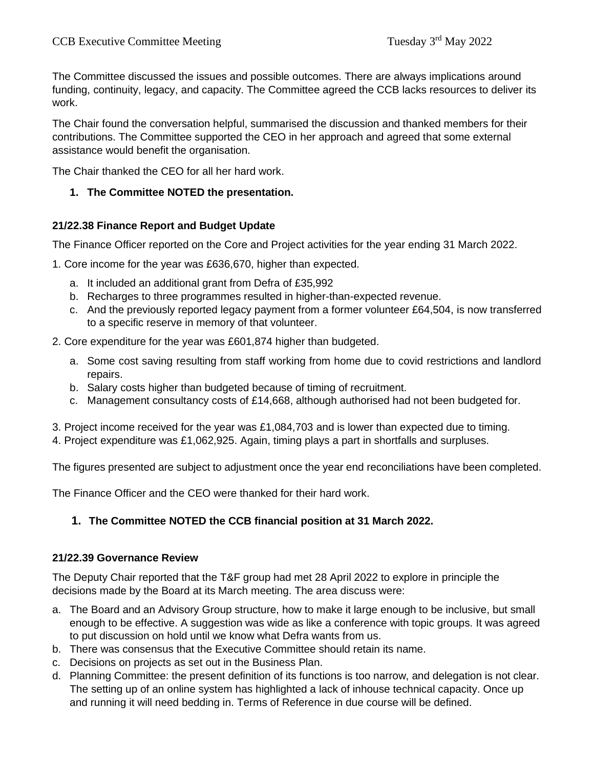The Committee discussed the issues and possible outcomes. There are always implications around funding, continuity, legacy, and capacity. The Committee agreed the CCB lacks resources to deliver its work.

The Chair found the conversation helpful, summarised the discussion and thanked members for their contributions. The Committee supported the CEO in her approach and agreed that some external assistance would benefit the organisation.

The Chair thanked the CEO for all her hard work.

### **1. The Committee NOTED the presentation.**

### **21/22.38 Finance Report and Budget Update**

The Finance Officer reported on the Core and Project activities for the year ending 31 March 2022.

1. Core income for the year was £636,670, higher than expected.

- a. It included an additional grant from Defra of £35,992
- b. Recharges to three programmes resulted in higher-than-expected revenue.
- c. And the previously reported legacy payment from a former volunteer £64,504, is now transferred to a specific reserve in memory of that volunteer.
- 2. Core expenditure for the year was £601,874 higher than budgeted.
	- a. Some cost saving resulting from staff working from home due to covid restrictions and landlord repairs.
	- b. Salary costs higher than budgeted because of timing of recruitment.
	- c. Management consultancy costs of £14,668, although authorised had not been budgeted for.
- 3. Project income received for the year was £1,084,703 and is lower than expected due to timing.
- 4. Project expenditure was £1,062,925. Again, timing plays a part in shortfalls and surpluses.

The figures presented are subject to adjustment once the year end reconciliations have been completed.

The Finance Officer and the CEO were thanked for their hard work.

## **1. The Committee NOTED the CCB financial position at 31 March 2022.**

#### **21/22.39 Governance Review**

The Deputy Chair reported that the T&F group had met 28 April 2022 to explore in principle the decisions made by the Board at its March meeting. The area discuss were:

- a. The Board and an Advisory Group structure, how to make it large enough to be inclusive, but small enough to be effective. A suggestion was wide as like a conference with topic groups. It was agreed to put discussion on hold until we know what Defra wants from us.
- b. There was consensus that the Executive Committee should retain its name.
- c. Decisions on projects as set out in the Business Plan.
- d. Planning Committee: the present definition of its functions is too narrow, and delegation is not clear. The setting up of an online system has highlighted a lack of inhouse technical capacity. Once up and running it will need bedding in. Terms of Reference in due course will be defined.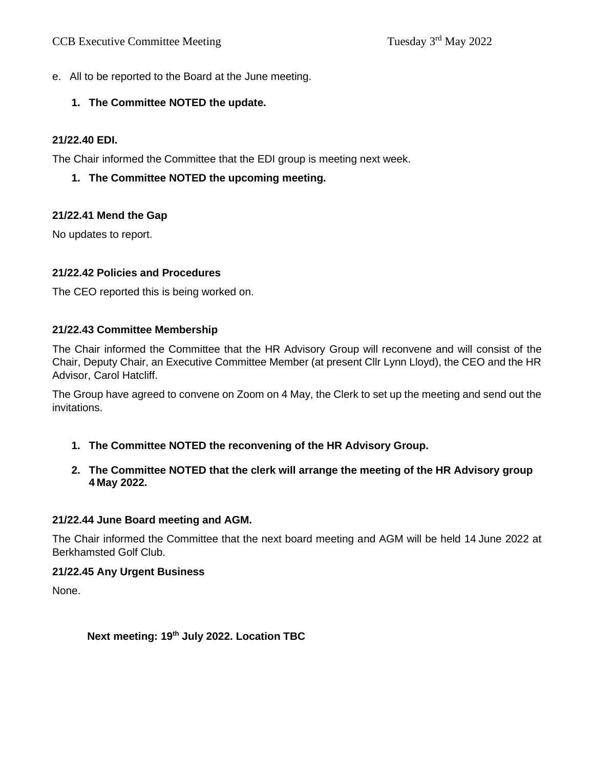e. All to be reported to the Board at the June meeting.

# **1. The Committee NOTED the update.**

# **21/22.40 EDI.**

The Chair informed the Committee that the EDI group is meeting next week.

**1. The Committee NOTED the upcoming meeting.**

# **21/22.41 Mend the Gap**

No updates to report.

## **21/22.42 Policies and Procedures**

The CEO reported this is being worked on.

## **21/22.43 Committee Membership**

The Chair informed the Committee that the HR Advisory Group will reconvene and will consist of the Chair, Deputy Chair, an Executive Committee Member (at present Cllr Lynn Lloyd), the CEO and the HR Advisor, Carol Hatcliff.

The Group have agreed to convene on Zoom on 4 May, the Clerk to set up the meeting and send out the invitations.

- **1. The Committee NOTED the reconvening of the HR Advisory Group.**
- **2. The Committee NOTED that the clerk will arrange the meeting of the HR Advisory group 4 May 2022.**

## **21/22.44 June Board meeting and AGM.**

The Chair informed the Committee that the next board meeting and AGM will be held 14 June 2022 at Berkhamsted Golf Club.

## **21/22.45 Any Urgent Business**

None.

# **Next meeting: 19th July 2022. Location TBC**